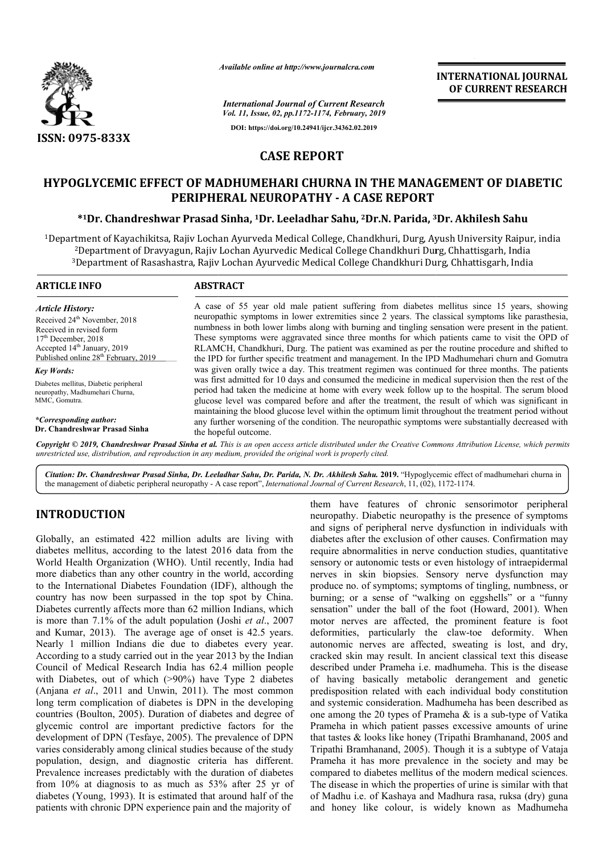

*Available online at http://www.journalcra.com*

*International Journal of Current Research Vol. 11, Issue, 02, pp.1172-1174, February, 2019* **DOI: https://doi.org/10.24941/ijcr.34362.02.2019**

## **INTERNATIONAL JOURNAL OF CURRENT RESEARCH**

## **CASE REPORT**

# HYPOGLYCEMIC EFFECT OF MADHUMEHARI CHURNA IN THE MANAGEMENT OF DIABETIC<br>PERIPHERAL NEUROPATHY - A CASE REPORT<br><sup>\*1</sup>Dr. Chandreshwar Prasad Sinha, <sup>1</sup>Dr. Leeladhar Sahu, <sup>2</sup>Dr.N. Parida, <sup>3</sup>Dr. Akhilesh Sahu\* **PERIPHERAL NEUROPATHY - A CASE REPORT**

## **\*1Dr. Chandreshwar Prasad Sinha, Dr. 1Dr. Leeladhar Sahu, 2Dr.N. Parida, 3**

<sup>1</sup>Department of Kayachikitsa, Rajiv Lochan Ayurveda Medical College, Chandkhuri, Durg, Ayush University Raipur, india <sup>2</sup>Department of Dravyagun, Rajiv Lochan Ayurvedic Medical College Chandkhuri Durg, Chhattisgarh, India  $^3$ Department of Rasashastra, Rajiv Lochan Ayurvedic Medical College Chandkhuri Durg, Chhattisgarh, India

| <b>ARTICLE INFO</b>                                                                                                                                                                                    | <b>ABSTRACT</b>                                                                                                                                                                                                                                                                                                                                                                                                                                                                                                                                                                                               |
|--------------------------------------------------------------------------------------------------------------------------------------------------------------------------------------------------------|---------------------------------------------------------------------------------------------------------------------------------------------------------------------------------------------------------------------------------------------------------------------------------------------------------------------------------------------------------------------------------------------------------------------------------------------------------------------------------------------------------------------------------------------------------------------------------------------------------------|
| Article History:<br>Received 24 <sup>th</sup> November, 2018<br>Received in revised form<br>$17th$ December, 2018<br>Accepted $14th$ January, 2019<br>Published online 28 <sup>th</sup> February, 2019 | A case of 55 year old male patient suffering from diabetes mellitus since 15 years, showing<br>neuropathic symptoms in lower extremities since 2 years. The classical symptoms like parasthesia,<br>numbness in both lower limbs along with burning and tingling sensation were present in the patient.<br>These symptoms were aggravated since three months for which patients came to visit the OPD of<br>RLAMCH, Chandkhuri, Durg. The patient was examined as per the routine procedure and shifted to<br>the IPD for further specific treatment and management. In the IPD Madhumehari churn and Gomutra |
| <b>Key Words:</b>                                                                                                                                                                                      | was given orally twice a day. This treatment regimen was continued for three months. The patients                                                                                                                                                                                                                                                                                                                                                                                                                                                                                                             |
| Diabetes mellitus, Diabetic peripheral<br>neuropathy, Madhumehari Churna,<br>MMC, Gomutra.                                                                                                             | was first admitted for 10 days and consumed the medicine in medical supervision then the rest of the<br>period had taken the medicine at home with every week follow up to the hospital. The serum blood<br>glucose level was compared before and after the treatment, the result of which was significant in                                                                                                                                                                                                                                                                                                 |
| *Corresponding author:<br>Dr. Chandreshwar Prasad Sinha                                                                                                                                                | maintaining the blood glucose level within the optimum limit throughout the treatment period without<br>any further worsening of the condition. The neuropathic symptoms were substantially decreased with<br>the hopeful outcome.                                                                                                                                                                                                                                                                                                                                                                            |

Copyright © 2019, Chandreshwar Prasad Sinha et al. This is an open access article distributed under the Creative Commons Attribution License, which permits *unrestricted use, distribution, and reproduction in any medium, provided the original work is properly cited.*

Citation: Dr. Chandreshwar Prasad Sinha, Dr. Leeladhar Sahu, Dr. Parida, N. Dr. Akhilesh Sahu. 2019. "Hypoglycemic effect of madhumehari churna in the management of diabetic peripheral neuropathy - A case report", *Interna* the management of diabetic peripheral neuropathy - A case report", *International Journal of Current Research*, 11, (02),

# **INTRODUCTION**

Globally, an estimated 422 million adults are living with diabetes mellitus, according to the latest 2016 data from the World Health Organization (WHO). Until recently, India had more diabetics than any other country in the world, according to the International Diabetes Foundation (IDF), although the country has now been surpassed in the top spot by China. Diabetes currently affects more than 62 million Indians, which Diabetes currently affects more than 62 million Indians, which<br>is more than 7.1% of the adult population (Joshi *et al.*, 2007) and Kumar, 2013). The average age of onset is 42.5 years. Nearly 1 million Indians die due to diabetes every year. According to a study carried out in the year 2013 by the Indian Council of Medical Research India has 62.4 million people with Diabetes, out of which (>90%) have Type 2 diabetes (Anjana *et al*., 2011 and Unwin, 2011). The most common long term complication of diabetes is DPN in the developing countries (Boulton, 2005). Duration of diabetes and degree of glycemic control are important predictive factors for the development of DPN (Tesfaye, 2005). The prevalence of DPN varies considerably among clinical studies because of the study population, design, and diagnostic criteria has different. Prevalence increases predictably with the duration of diabetes from 10% at diagnosis to as much as 53% after 25 yr of diabetes (Young, 1993). It is estimated that around half of the patients with chronic DPN experience pain and the majority of FDPN (Tesfaye, 2005). The prevalence of DPN<br>hbly among clinical studies because of the study<br>sign, and diagnostic criteria has different.<br>eases predictably with the duration of diabetes<br>diagnosis to as much as 53% after 25

them have features of chronic sensorinotor peripheral<br>them have features of chronic small<br>identication of the presence of symptoms<br>and signs of peripheral nerve dysfunction in individuals with<br>the diate same the exclusion neuropathy. Diabetic neuropathy is the presence of symptoms and signs of peripheral nerve dysfunction in individuals with them have features of chronic sensorimotor peripheral neuropathy. Diabetic neuropathy is the presence of symptoms and signs of peripheral nerve dysfunction in individuals with diabetes after the exclusion of other causes. require abnormalities in nerve conduction studies, quantitative sensory or autonomic tests or even histology of intraepidermal nerves in skin biopsies. Sensory nerve dysfunction may produce no. of symptoms; symptoms of tingling, numbness burning; or a sense of "walking on eggshells" or a "funny burning; or a sense of "walking on eggshells" or a "funny sensation" under the ball of the foot (Howard, 2001). When motor nerves are affected, the prominent feature is foot motor nerves are affected, the prominent feature is foot deformities, particularly the claw-toe deformity. When autonomic nerves are affected, sweating is lost, and dry, cracked skin may result. In ancient classical text this disease described under Prameha i.e. madhumeha. This is the disease of having basically metabolic derangement and genetic autonomic nerves are affected, sweating is lost, and dry, cracked skin may result. In ancient classical text this disease described under Prameha i.e. madhumeha. This is the disease of having basically metabolic derangemen and systemic consideration. Madhumeha has been described as and systemic consideration. Madhumeha has been described as one among the 20 types of Prameha  $\&$  is a sub-type of Vatika Prameha in which patient passes excessive amounts of urine Prameha in which patient passes excessive amounts of urine that tastes  $\&$  looks like honey (Tripathi Bramhanand, 2005 and Tripathi Bramhanand, 2005). Though it is a subtype of Vataja Prameha it has more prevalence in the society and may be compared to diabetes mellitus of the modern medical sciences. The disease in which the properties of urine is similar with that of Madhu i.e. of Kashaya and Madhura rasa, ruksa (dry) guna and honey like colour, is widely known as Madhumeha abnormalities in nerve conduction studies, quantitative or autonomic tests or even histology of intraepidermal in skin biopsies. Sensory nerve dysfunction may no. of symptoms; symptoms of tingling, numbness, or **EXERVALTIONAL JOURNAL FORM SOLUTION CONVERTS (CONTRESS)**<br> **CONVERTS (EXERCISITY CONTRESS)**<br> **CONVERTS (EXERCISITY CONTRESS)**<br> **CONVERTS)**<br> **PRAME SOLUTION ANTIFICATION CONTRESS)**<br> **PRAME SOLUTION ANTIFICATION ANTIFICATIO**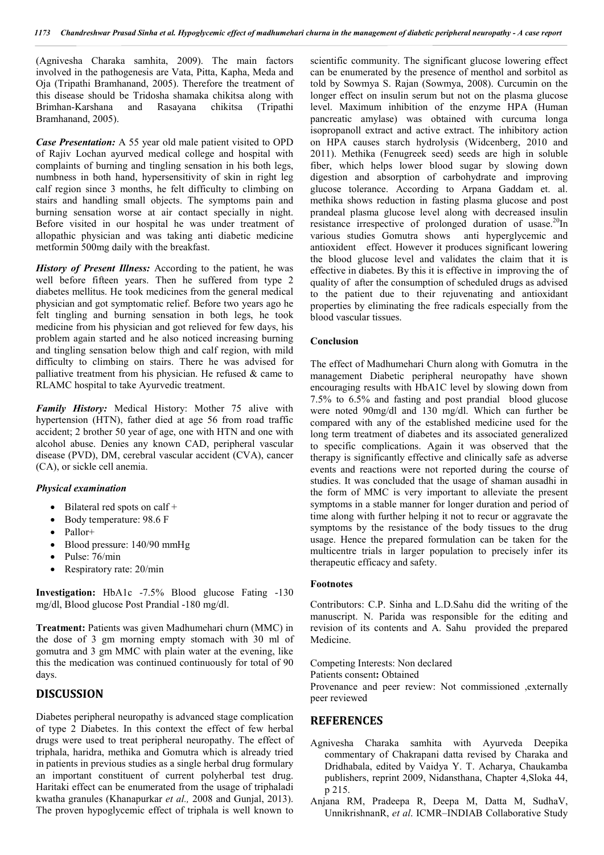(Agnivesha Charaka samhita, 2009). The main factors involved in the pathogenesis are Vata, Pitta, Kapha, Meda and Oja (Tripathi Bramhanand, 2005). Therefore the treatment of this disease should be Tridosha shamaka chikitsa along with Brimhan-Karshana and Rasayana chikitsa (Tripathi Bramhanand, 2005).

*Case Presentation:* A 55 year old male patient visited to OPD of Rajiv Lochan ayurved medical college and hospital with complaints of burning and tingling sensation in his both legs, numbness in both hand, hypersensitivity of skin in right leg calf region since 3 months, he felt difficulty to climbing on stairs and handling small objects. The symptoms pain and burning sensation worse at air contact specially in night. Before visited in our hospital he was under treatment of allopathic physician and was taking anti diabetic medicine metformin 500mg daily with the breakfast.

*History of Present Illness:* According to the patient, he was well before fifteen years. Then he suffered from type 2 diabetes mellitus. He took medicines from the general medical physician and got symptomatic relief. Before two years ago he felt tingling and burning sensation in both legs, he took medicine from his physician and got relieved for few days, his problem again started and he also noticed increasing burning and tingling sensation below thigh and calf region, with mild difficulty to climbing on stairs. There he was advised for palliative treatment from his physician. He refused  $\&$  came to RLAMC hospital to take Ayurvedic treatment.

*Family History:* Medical History: Mother 75 alive with hypertension (HTN), father died at age 56 from road traffic accident; 2 brother 50 year of age, one with HTN and one with alcohol abuse. Denies any known CAD, peripheral vascular disease (PVD), DM, cerebral vascular accident (CVA), cancer (CA), or sickle cell anemia.

#### *Physical examination*

- $\bullet$  Bilateral red spots on calf +
- Body temperature: 98.6 F
- Pallor+
- Blood pressure: 140/90 mmHg
- $\bullet$  Pulse: 76/min
- Respiratory rate: 20/min

**Investigation:** HbA1c -7.5% Blood glucose Fating -130 mg/dl, Blood glucose Post Prandial -180 mg/dl.

**Treatment:** Patients was given Madhumehari churn (MMC) in the dose of 3 gm morning empty stomach with 30 ml of gomutra and 3 gm MMC with plain water at the evening, like this the medication was continued continuously for total of 90 days.

### **DISCUSSION**

Diabetes peripheral neuropathy is advanced stage complication of type 2 Diabetes. In this context the effect of few herbal drugs were used to treat peripheral neuropathy. The effect of triphala, haridra, methika and Gomutra which is already tried in patients in previous studies as a single herbal drug formulary an important constituent of current polyherbal test drug. Haritaki effect can be enumerated from the usage of triphaladi kwatha granules (Khanapurkar *et al.,* 2008 and Gunjal, 2013). The proven hypoglycemic effect of triphala is well known to scientific community. The significant glucose lowering effect can be enumerated by the presence of menthol and sorbitol as told by Sowmya S. Rajan (Sowmya, 2008). Curcumin on the longer effect on insulin serum but not on the plasma glucose level. Maximum inhibition of the enzyme HPA (Human pancreatic amylase) was obtained with curcuma longa isopropanoll extract and active extract. The inhibitory action on HPA causes starch hydrolysis (Widcenberg, 2010 and 2011). Methika (Fenugreek seed) seeds are high in soluble fiber, which helps lower blood sugar by slowing down digestion and absorption of carbohydrate and improving glucose tolerance. According to Arpana Gaddam et. al. methika shows reduction in fasting plasma glucose and post prandeal plasma glucose level along with decreased insulin resistance irrespective of prolonged duration of usase.<sup>20</sup>In various studies Gomutra shows anti hyperglycemic and antioxident effect. However it produces significant lowering the blood glucose level and validates the claim that it is effective in diabetes. By this it is effective in improving the of quality of after the consumption of scheduled drugs as advised to the patient due to their rejuvenating and antioxidant properties by eliminating the free radicals especially from the blood vascular tissues.

#### **Conclusion**

The effect of Madhumehari Churn along with Gomutra in the management Diabetic peripheral neuropathy have shown encouraging results with HbA1C level by slowing down from 7.5% to 6.5% and fasting and post prandial blood glucose were noted 90mg/dl and 130 mg/dl. Which can further be compared with any of the established medicine used for the long term treatment of diabetes and its associated generalized to specific complications. Again it was observed that the therapy is significantly effective and clinically safe as adverse events and reactions were not reported during the course of studies. It was concluded that the usage of shaman ausadhi in the form of MMC is very important to alleviate the present symptoms in a stable manner for longer duration and period of time along with further helping it not to recur or aggravate the symptoms by the resistance of the body tissues to the drug usage. Hence the prepared formulation can be taken for the multicentre trials in larger population to precisely infer its therapeutic efficacy and safety.

#### **Footnotes**

Contributors: C.P. Sinha and L.D.Sahu did the writing of the manuscript. N. Parida was responsible for the editing and revision of its contents and A. Sahu provided the prepared Medicine.

Competing Interests: Non declared

Patients consent**:** Obtained

Provenance and peer review: Not commissioned ,externally peer reviewed

#### **REFERENCES**

- Agnivesha Charaka samhita with Ayurveda Deepika commentary of Chakrapani datta revised by Charaka and Dridhabala, edited by Vaidya Y. T. Acharya, Chaukamba publishers, reprint 2009, Nidansthana, Chapter 4,Sloka 44, p 215.
- Anjana RM, Pradeepa R, Deepa M, Datta M, SudhaV, UnnikrishnanR, *et al*. ICMR–INDIAB Collaborative Study